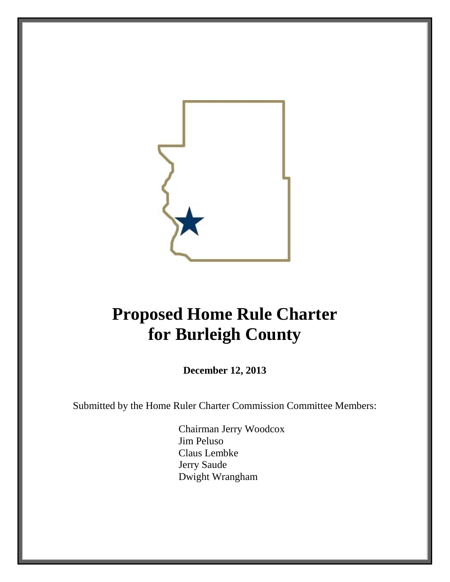

# **Proposed Home Rule Charter for Burleigh County**

**December 12, 2013**

Submitted by the Home Ruler Charter Commission Committee Members:

Chairman Jerry Woodcox Jim Peluso Claus Lembke Jerry Saude Dwight Wrangham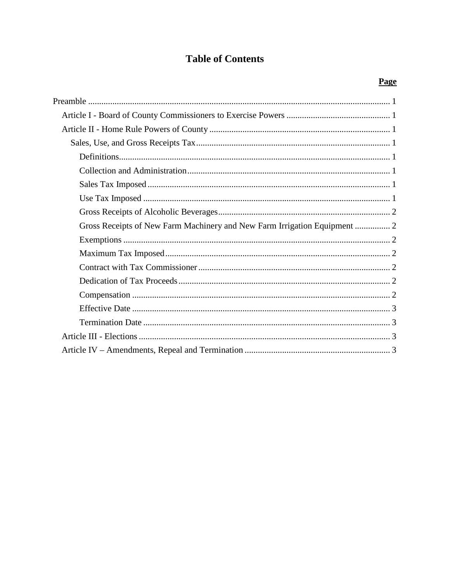# **Table of Contents**

| Gross Receipts of New Farm Machinery and New Farm Irrigation Equipment  2 |  |  |  |  |
|---------------------------------------------------------------------------|--|--|--|--|
|                                                                           |  |  |  |  |
|                                                                           |  |  |  |  |
|                                                                           |  |  |  |  |
|                                                                           |  |  |  |  |
|                                                                           |  |  |  |  |
|                                                                           |  |  |  |  |
|                                                                           |  |  |  |  |
|                                                                           |  |  |  |  |
|                                                                           |  |  |  |  |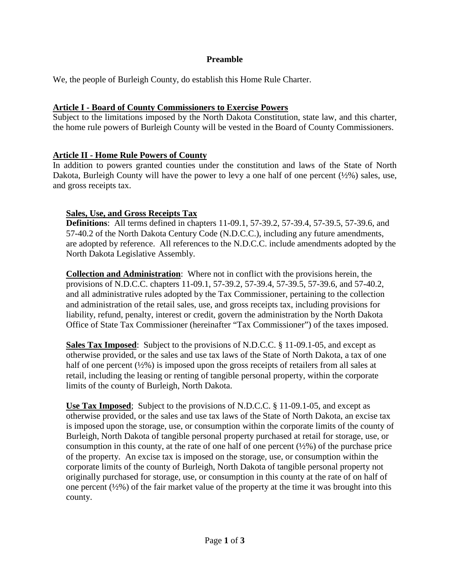#### **Preamble**

<span id="page-2-0"></span>We, the people of Burleigh County, do establish this Home Rule Charter.

#### <span id="page-2-1"></span>**Article I - Board of County Commissioners to Exercise Powers**

Subject to the limitations imposed by the North Dakota Constitution, state law, and this charter, the home rule powers of Burleigh County will be vested in the Board of County Commissioners.

#### <span id="page-2-2"></span>**Article II - Home Rule Powers of County**

In addition to powers granted counties under the constitution and laws of the State of North Dakota, Burleigh County will have the power to levy a one half of one percent  $(\frac{1}{2}\%)$  sales, use, and gross receipts tax.

#### <span id="page-2-3"></span>**Sales, Use, and Gross Receipts Tax**

<span id="page-2-4"></span>**Definitions**: All terms defined in chapters 11-09.1, 57-39.2, 57-39.4, 57-39.5, 57-39.6, and 57-40.2 of the North Dakota Century Code (N.D.C.C.), including any future amendments, are adopted by reference. All references to the N.D.C.C. include amendments adopted by the North Dakota Legislative Assembly.

<span id="page-2-5"></span>**Collection and Administration**: Where not in conflict with the provisions herein, the provisions of N.D.C.C. chapters 11-09.1, 57-39.2, 57-39.4, 57-39.5, 57-39.6, and 57-40.2, and all administrative rules adopted by the Tax Commissioner, pertaining to the collection and administration of the retail sales, use, and gross receipts tax, including provisions for liability, refund, penalty, interest or credit, govern the administration by the North Dakota Office of State Tax Commissioner (hereinafter "Tax Commissioner") of the taxes imposed.

<span id="page-2-6"></span>**Sales Tax Imposed**: Subject to the provisions of N.D.C.C. § 11-09.1-05, and except as otherwise provided, or the sales and use tax laws of the State of North Dakota, a tax of one half of one percent  $(\frac{1}{2}\%)$  is imposed upon the gross receipts of retailers from all sales at retail, including the leasing or renting of tangible personal property, within the corporate limits of the county of Burleigh, North Dakota.

<span id="page-2-7"></span>**Use Tax Imposed**; Subject to the provisions of N.D.C.C. § 11-09.1-05, and except as otherwise provided, or the sales and use tax laws of the State of North Dakota, an excise tax is imposed upon the storage, use, or consumption within the corporate limits of the county of Burleigh, North Dakota of tangible personal property purchased at retail for storage, use, or consumption in this county, at the rate of one half of one percent  $(\frac{1}{2}\%)$  of the purchase price of the property. An excise tax is imposed on the storage, use, or consumption within the corporate limits of the county of Burleigh, North Dakota of tangible personal property not originally purchased for storage, use, or consumption in this county at the rate of on half of one percent  $(\frac{1}{2}\%)$  of the fair market value of the property at the time it was brought into this county.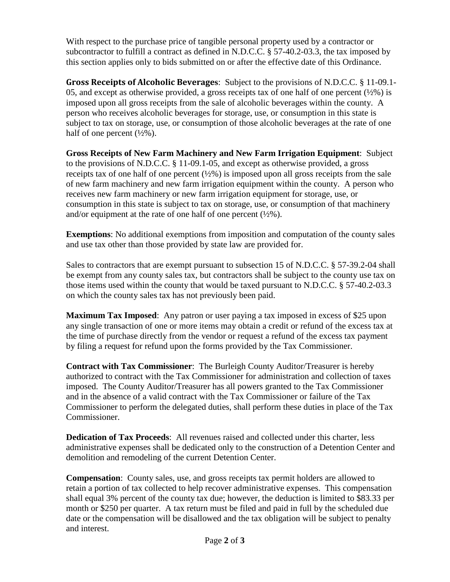With respect to the purchase price of tangible personal property used by a contractor or subcontractor to fulfill a contract as defined in N.D.C.C. § 57-40.2-03.3, the tax imposed by this section applies only to bids submitted on or after the effective date of this Ordinance.

<span id="page-3-0"></span>**Gross Receipts of Alcoholic Beverages**: Subject to the provisions of N.D.C.C. § 11-09.1- 05, and except as otherwise provided, a gross receipts tax of one half of one percent  $(\frac{1}{2}\%)$  is imposed upon all gross receipts from the sale of alcoholic beverages within the county. A person who receives alcoholic beverages for storage, use, or consumption in this state is subject to tax on storage, use, or consumption of those alcoholic beverages at the rate of one half of one percent  $(\frac{1}{2}\%)$ .

<span id="page-3-1"></span>**Gross Receipts of New Farm Machinery and New Farm Irrigation Equipment**: Subject to the provisions of N.D.C.C. § 11-09.1-05, and except as otherwise provided, a gross receipts tax of one half of one percent  $(\frac{1}{2}\%)$  is imposed upon all gross receipts from the sale of new farm machinery and new farm irrigation equipment within the county. A person who receives new farm machinery or new farm irrigation equipment for storage, use, or consumption in this state is subject to tax on storage, use, or consumption of that machinery and/or equipment at the rate of one half of one percent  $(\frac{1}{2}\%)$ .

<span id="page-3-2"></span>**Exemptions**: No additional exemptions from imposition and computation of the county sales and use tax other than those provided by state law are provided for.

Sales to contractors that are exempt pursuant to subsection 15 of N.D.C.C. § 57-39.2-04 shall be exempt from any county sales tax, but contractors shall be subject to the county use tax on those items used within the county that would be taxed pursuant to N.D.C.C. § 57-40.2-03.3 on which the county sales tax has not previously been paid.

<span id="page-3-3"></span>**Maximum Tax Imposed:** Any patron or user paying a tax imposed in excess of \$25 upon any single transaction of one or more items may obtain a credit or refund of the excess tax at the time of purchase directly from the vendor or request a refund of the excess tax payment by filing a request for refund upon the forms provided by the Tax Commissioner.

<span id="page-3-4"></span>**Contract with Tax Commissioner**: The Burleigh County Auditor/Treasurer is hereby authorized to contract with the Tax Commissioner for administration and collection of taxes imposed. The County Auditor/Treasurer has all powers granted to the Tax Commissioner and in the absence of a valid contract with the Tax Commissioner or failure of the Tax Commissioner to perform the delegated duties, shall perform these duties in place of the Tax Commissioner.

<span id="page-3-5"></span>**Dedication of Tax Proceeds**: All revenues raised and collected under this charter, less administrative expenses shall be dedicated only to the construction of a Detention Center and demolition and remodeling of the current Detention Center.

<span id="page-3-6"></span>**Compensation**: County sales, use, and gross receipts tax permit holders are allowed to retain a portion of tax collected to help recover administrative expenses. This compensation shall equal 3% percent of the county tax due; however, the deduction is limited to \$83.33 per month or \$250 per quarter. A tax return must be filed and paid in full by the scheduled due date or the compensation will be disallowed and the tax obligation will be subject to penalty and interest.